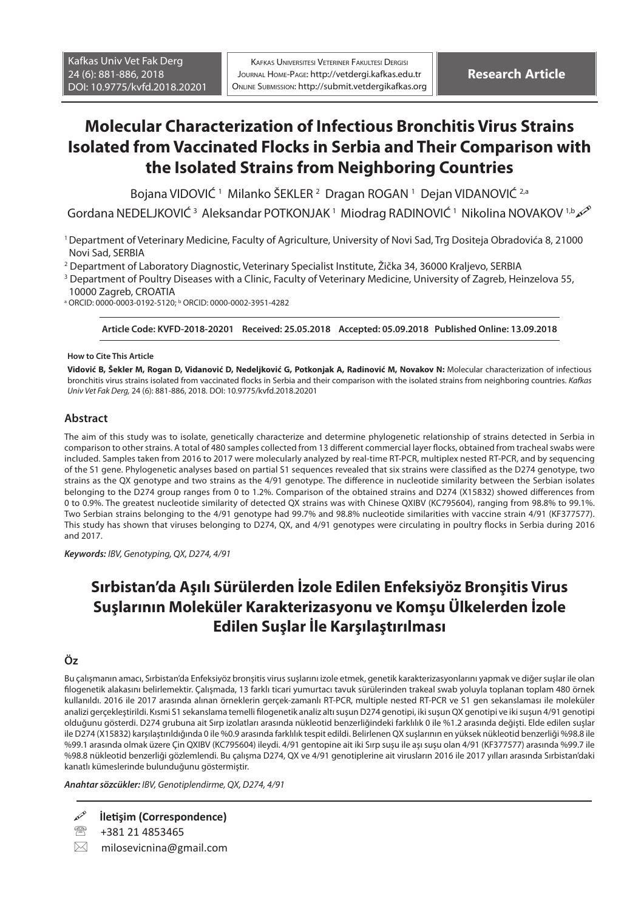# **Molecular Characterization of Infectious Bronchitis Virus Strains Isolated from Vaccinated Flocks in Serbia and Their Comparison with the Isolated Strains from Neighboring Countries**

Bojana VIDOVIĆ 1 Milanko ŠEKLER 2 Dragan ROGAN 1 Dejan VIDANOVIĆ 2,a

Gordana NEDELJKOVIĆ<sup>3</sup> Aleksandar POTKONJAK<sup>1</sup> Miodrag RADINOVIĆ<sup>1</sup> Nikolina NOVAKOV<sup>1,b</sup>

1 Department of Veterinary Medicine, Faculty of Agriculture, University of Novi Sad, Trg Dositeja Obradovića 8, 21000 Novi Sad, SERBIA

2 Department of Laboratory Diagnostic, Veterinary Specialist Institute, Žička 34, 36000 Kraljevo, SERBIA

3 Department of Poultry Diseases with a Clinic, Faculty of Veterinary Medicine, University of Zagreb, Heinzelova 55,

10000 Zagreb, CROATIA

<sup>a</sup> ORCID: 0000-0003-0192-5120; <sup>b</sup> ORCID: 0000-0002-3951-4282

**Article Code: KVFD-2018-20201 Received: 25.05.2018 Accepted: 05.09.2018 Published Online: 13.09.2018**

#### **How to Cite This Article**

**Vidović B, Šekler M, Rogan D, Vidanović D, Nedeljković G, Potkonjak A, Radinović M, Novakov N:** Molecular characterization of infectious bronchitis virus strains isolated from vaccinated flocks in Serbia and their comparison with the isolated strains from neighboring countries. *Kafkas Univ Vet Fak Derg,* 24 (6): 881-886, 2018*.* DOI: 10.9775/kvfd.2018.20201

#### **Abstract**

The aim of this study was to isolate, genetically characterize and determine phylogenetic relationship of strains detected in Serbia in comparison to other strains. A total of 480 samples collected from 13 different commercial layer flocks, obtained from tracheal swabs were included. Samples taken from 2016 to 2017 were molecularly analyzed by real-time RT-PCR, multiplex nested RT-PCR, and by sequencing of the S1 gene. Phylogenetic analyses based on partial S1 sequences revealed that six strains were classified as the D274 genotype, two strains as the QX genotype and two strains as the 4/91 genotype. The difference in nucleotide similarity between the Serbian isolates belonging to the D274 group ranges from 0 to 1.2%. Comparison of the obtained strains and D274 (X15832) showed differences from 0 to 0.9%. The greatest nucleotide similarity of detected QX strains was with Chinese QXIBV (KC795604), ranging from 98.8% to 99.1%. Two Serbian strains belonging to the 4/91 genotype had 99.7% and 98.8% nucleotide similarities with vaccine strain 4/91 (KF377577). This study has shown that viruses belonging to D274, QX, and 4/91 genotypes were circulating in poultry flocks in Serbia during 2016 and 2017.

*Keywords: IBV, Genotyping, QX, D274, 4/91*

# **Sırbistan'da Aşılı Sürülerden İzole Edilen Enfeksiyöz Bronşitis Virus Suşlarının Moleküler Karakterizasyonu ve Komşu Ülkelerden İzole Edilen Suşlar İle Karşılaştırılması**

### **Öz**

Bu çalışmanın amacı, Sırbistan'da Enfeksiyöz bronşitis virus suşlarını izole etmek, genetik karakterizasyonlarını yapmak ve diğer suşlar ile olan filogenetik alakasını belirlemektir. Çalışmada, 13 farklı ticari yumurtacı tavuk sürülerinden trakeal swab yoluyla toplanan toplam 480 örnek kullanıldı. 2016 ile 2017 arasında alınan örneklerin gerçek-zamanlı RT-PCR, multiple nested RT-PCR ve S1 gen sekanslaması ile moleküler analizi gerçekleştirildi. Kısmi S1 sekanslama temelli filogenetik analiz altı suşun D274 genotipi, iki suşun QX genotipi ve iki suşun 4/91 genotipi olduğunu gösterdi. D274 grubuna ait Sırp izolatları arasında nükleotid benzerliğindeki farklılık 0 ile %1.2 arasında değişti. Elde edilen suşlar ile D274 (X15832) karşılaştırıldığında 0 ile %0.9 arasında farklılık tespit edildi. Belirlenen QX suşlarının en yüksek nükleotid benzerliği %98.8 ile %99.1 arasında olmak üzere Çin QXIBV (KC795604) ileydi. 4/91 gentopine ait iki Sırp suşu ile aşı suşu olan 4/91 (KF377577) arasında %99.7 ile %98.8 nükleotid benzerliği gözlemlendi. Bu çalışma D274, QX ve 4/91 genotiplerine ait virusların 2016 ile 2017 yılları arasında Sırbistan'daki kanatlı kümeslerinde bulunduğunu göstermiştir.

*Anahtar sözcükler: IBV, Genotiplendirme, QX, D274, 4/91*

**İletişim (Correspondence)**

<sup>2</sup> +381 21 4853465

 $\boxtimes$  milosevicnina@gmail.com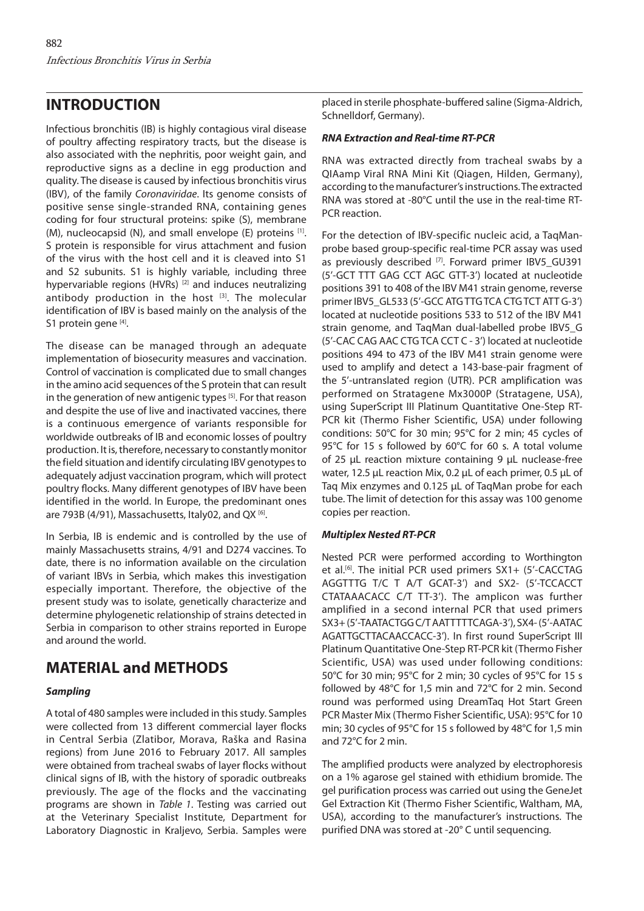## **INTRODUCTION**

Infectious bronchitis (IB) is highly contagious viral disease of poultry affecting respiratory tracts, but the disease is also associated with the nephritis, poor weight gain, and reproductive signs as a decline in egg production and quality. The disease is caused by infectious bronchitis virus (IBV), of the family *Coronaviridae*. Its genome consists of positive sense single-stranded RNA, containing genes coding for four structural proteins: spike (S), membrane (M), nucleocapsid (N), and small envelope (E) proteins  $[1]$ . S protein is responsible for virus attachment and fusion of the virus with the host cell and it is cleaved into S1 and S2 subunits. S1 is highly variable, including three hypervariable regions (HVRs)<sup>[2]</sup> and induces neutralizing antibody production in the host  $[3]$ . The molecular identification of IBV is based mainly on the analysis of the S1 protein gene [4].

The disease can be managed through an adequate implementation of biosecurity measures and vaccination. Control of vaccination is complicated due to small changes in the amino acid sequences of the S protein that can result in the generation of new antigenic types [5]. For that reason and despite the use of live and inactivated vaccines, there is a continuous emergence of variants responsible for worldwide outbreaks of IB and economic losses of poultry production. It is, therefore, necessary to constantly monitor the field situation and identify circulating IBV genotypes to adequately adjust vaccination program, which will protect poultry flocks. Many different genotypes of IBV have been identified in the world. In Europe, the predominant ones are 793B (4/91), Massachusetts, Italy02, and QX $^{[6]}$ .

In Serbia, IB is endemic and is controlled by the use of mainly Massachusetts strains, 4/91 and D274 vaccines. To date, there is no information available on the circulation of variant IBVs in Serbia, which makes this investigation especially important. Therefore, the objective of the present study was to isolate, genetically characterize and determine phylogenetic relationship of strains detected in Serbia in comparison to other strains reported in Europe and around the world.

# **MATERIAL and METHODS**

### *Sampling*

A total of 480 samples were included in this study. Samples were collected from 13 different commercial layer flocks in Central Serbia (Zlatibor, Morava, Raška and Rasina regions) from June 2016 to February 2017. All samples were obtained from tracheal swabs of layer flocks without clinical signs of IB, with the history of sporadic outbreaks previously. The age of the flocks and the vaccinating programs are shown in *Table 1*. Testing was carried out at the Veterinary Specialist Institute, Department for Laboratory Diagnostic in Kraljevo, Serbia. Samples were

placed in sterile phosphate-buffered saline (Sigma-Aldrich, Schnelldorf, Germany).

### *RNA Extraction and Real-time RT-PCR*

RNA was extracted directly from tracheal swabs by a QIAamp Viral RNA Mini Kit (Qiagen, Hilden, Germany), according to the manufacturer's instructions. The extracted RNA was stored at -80°C until the use in the real-time RT-PCR reaction.

For the detection of IBV-specific nucleic acid, a TaqManprobe based group-specific real-time PCR assay was used as previously described [7]. Forward primer IBV5 GU391 (5'-GCT TTT GAG CCT AGC GTT-3') located at nucleotide positions 391 to 408 of the IBV M41 strain genome, reverse primer IBV5\_GL533 (5'-GCC ATG TTG TCA CTG TCT ATT G-3') located at nucleotide positions 533 to 512 of the IBV M41 strain genome, and TagMan dual-labelled probe IBV5\_G (5'-CAC CAG AAC CTG TCA CCT C - 3') located at nucleotide positions 494 to 473 of the IBV M41 strain genome were used to amplify and detect a 143-base-pair fragment of the 5'-untranslated region (UTR). PCR amplification was performed on Stratagene Mx3000P (Stratagene, USA), using SuperScript III Platinum Quantitative One-Step RT-PCR kit (Thermo Fisher Scientific, USA) under following conditions: 50°C for 30 min; 95°C for 2 min; 45 cycles of 95°C for 15 s followed by 60°C for 60 s. A total volume of 25 µL reaction mixture containing 9 µL nuclease-free water, 12.5 µL reaction Mix, 0.2 µL of each primer, 0.5 µL of Taq Mix enzymes and 0.125 µL of TaqMan probe for each tube. The limit of detection for this assay was 100 genome copies per reaction.

### *Multiplex Nested RT-PCR*

Nested PCR were performed according to Worthington et al.<sup>[6]</sup>. The initial PCR used primers  $S X1+ (5'-CACCTAG)$ AGGTTTG T/C T A/T GCAT-3') and SX2- (5'-TCCACCT CTATAAACACC C/T TT-3'). The amplicon was further amplified in a second internal PCR that used primers SX3+ (5'-TAATACTGG C/T AATTTTTCAGA-3'), SX4- (5'-AATAC AGATTGCTTACAACCACC-3'). In first round SuperScript III Platinum Quantitative One-Step RT-PCR kit (Thermo Fisher Scientific, USA) was used under following conditions: 50°C for 30 min; 95°C for 2 min; 30 cycles of 95°C for 15 s followed by 48°C for 1,5 min and 72°C for 2 min. Second round was performed using DreamTaq Hot Start Green PCR Master Mix (Thermo Fisher Scientific, USA): 95°C for 10 min; 30 cycles of 95°C for 15 s followed by 48°C for 1,5 min and 72°C for 2 min.

The amplified products were analyzed by electrophoresis on a 1% agarose gel stained with ethidium bromide. The gel purification process was carried out using the GeneJet Gel Extraction Kit (Thermo Fisher Scientific, Waltham, MA, USA), according to the manufacturer's instructions. The purified DNA was stored at -20° C until sequencing.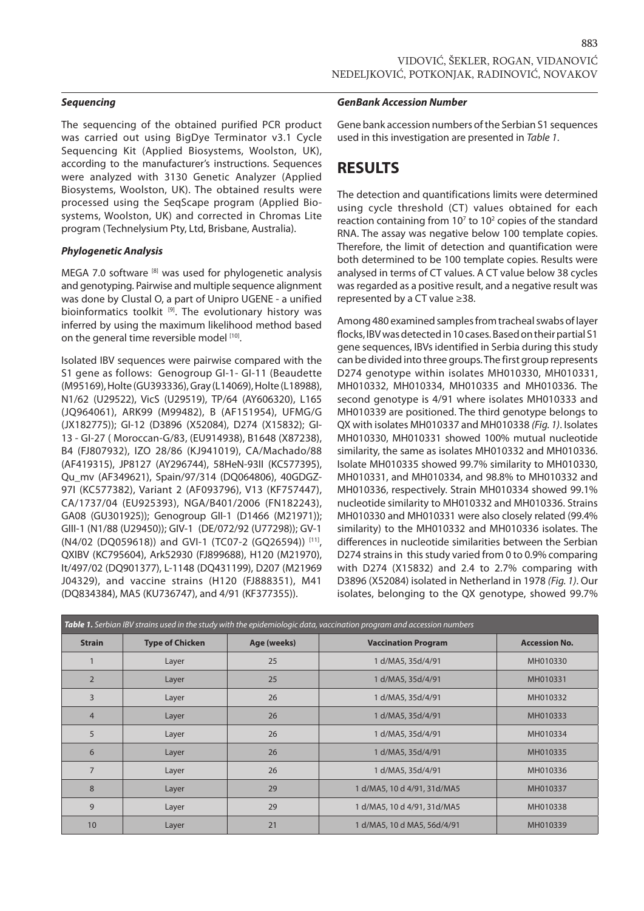The sequencing of the obtained purified PCR product was carried out using BigDye Terminator v3.1 Cycle Sequencing Kit (Applied Biosystems, Woolston, UK), according to the manufacturer's instructions. Sequences were analyzed with 3130 Genetic Analyzer (Applied Biosystems, Woolston, UK). The obtained results were processed using the SeqScape program (Applied Biosystems, Woolston, UK) and corrected in Chromas Lite program (Technelysium Pty, Ltd, Brisbane, Australia).

#### *Phylogenetic Analysis*

MEGA 7.0 software [8] was used for phylogenetic analysis and genotyping. Pairwise and multiple sequence alignment was done by Clustal O, a part of Unipro UGENE - a unified bioinformatics toolkit [9]. The evolutionary history was inferred by using the maximum likelihood method based on the general time reversible model [10].

Isolated IBV sequences were pairwise compared with the S1 gene as follows: Genogroup GI-1- GI-11 (Beaudette (M95169), Holte (GU393336), Gray (L14069), Holte (L18988), N1/62 (U29522), VicS (U29519), TP/64 (AY606320), L165 (JQ964061), ARK99 (M99482), B (AF151954), UFMG/G (JX182775)); GI-12 (D3896 (X52084), D274 (X15832); GI-13 - GI-27 ( Moroccan-G/83, (EU914938), B1648 (X87238), B4 (FJ807932), IZO 28/86 (KJ941019), CA/Machado/88 (AF419315), JP8127 (AY296744), 58HeN-93II (KC577395), Qu\_mv (AF349621), Spain/97/314 (DQ064806), 40GDGZ-97I (KC577382), Variant 2 (AF093796), V13 (KF757447), CA/1737/04 (EU925393), NGA/B401/2006 (FN182243), GA08 (GU301925)); Genogroup GII-1 (D1466 (M21971)); GIII-1 (N1/88 (U29450)); GIV-1 (DE/072/92 (U77298)); GV-1 (N4/02 (DQ059618)) and GVI-1 (TC07-2 (GQ26594)) [11], QXIBV (KC795604), Ark52930 (FJ899688), H120 (M21970), It/497/02 (DQ901377), L-1148 (DQ431199), D207 (M21969 J04329), and vaccine strains (H120 (FJ888351), M41 (DQ834384), MA5 (KU736747), and 4/91 (KF377355)).

#### *GenBank Accession Number*

Gene bank accession numbers of the Serbian S1 sequences used in this investigation are presented in *Table 1*.

### **RESULTS**

The detection and quantifications limits were determined using cycle threshold (CT) values obtained for each reaction containing from  $10<sup>7</sup>$  to  $10<sup>2</sup>$  copies of the standard RNA. The assay was negative below 100 template copies. Therefore, the limit of detection and quantification were both determined to be 100 template copies. Results were analysed in terms of CT values. A CT value below 38 cycles was regarded as a positive result, and a negative result was represented by a CT value ≥38.

Among 480 examined samples from tracheal swabs of layer flocks, IBV was detected in 10 cases. Based on their partial S1 gene sequences, IBVs identified in Serbia during this study can be divided into three groups. The first group represents D274 genotype within isolates MH010330, MH010331, MH010332, MH010334, MH010335 and MH010336. The second genotype is 4/91 where isolates MH010333 and MH010339 are positioned. The third genotype belongs to QX with isolates MH010337 and MH010338 *(Fig. 1)*. Isolates MH010330, MH010331 showed 100% mutual nucleotide similarity, the same as isolates MH010332 and MH010336. Isolate MH010335 showed 99.7% similarity to MH010330, MH010331, and MH010334, and 98.8% to MH010332 and MH010336, respectively. Strain MH010334 showed 99.1% nucleotide similarity to MH010332 and MH010336. Strains MH010330 and MH010331 were also closely related (99.4% similarity) to the MH010332 and MH010336 isolates. The differences in nucleotide similarities between the Serbian D274 strains in this study varied from 0 to 0.9% comparing with D274 (X15832) and 2.4 to 2.7% comparing with D3896 (X52084) isolated in Netherland in 1978 *(Fig. 1)*. Our isolates, belonging to the QX genotype, showed 99.7%

| Table 1. Serbian IBV strains used in the study with the epidemiologic data, vaccination program and accession numbers |                        |             |                             |                      |
|-----------------------------------------------------------------------------------------------------------------------|------------------------|-------------|-----------------------------|----------------------|
| <b>Strain</b>                                                                                                         | <b>Type of Chicken</b> | Age (weeks) | <b>Vaccination Program</b>  | <b>Accession No.</b> |
|                                                                                                                       | Layer                  | 25          | 1 d/MA5, 35d/4/91           | MH010330             |
| $\overline{2}$                                                                                                        | Layer                  | 25          | 1 d/MA5, 35d/4/91           | MH010331             |
| 3                                                                                                                     | Layer                  | 26          | 1 d/MA5, 35d/4/91           | MH010332             |
| $\overline{4}$                                                                                                        | Layer                  | 26          | 1 d/MA5, 35d/4/91           | MH010333             |
| 5                                                                                                                     | Layer                  | 26          | 1 d/MA5, 35d/4/91           | MH010334             |
| 6                                                                                                                     | Layer                  | 26          | 1 d/MA5, 35d/4/91           | MH010335             |
| $\overline{7}$                                                                                                        | Layer                  | 26          | 1 d/MA5, 35d/4/91           | MH010336             |
| 8                                                                                                                     | Layer                  | 29          | 1 d/MA5, 10 d 4/91, 31d/MA5 | MH010337             |
| 9                                                                                                                     | Layer                  | 29          | 1 d/MA5, 10 d 4/91, 31d/MA5 | MH010338             |
| 10                                                                                                                    | Layer                  | 21          | 1 d/MA5, 10 d MA5, 56d/4/91 | MH010339             |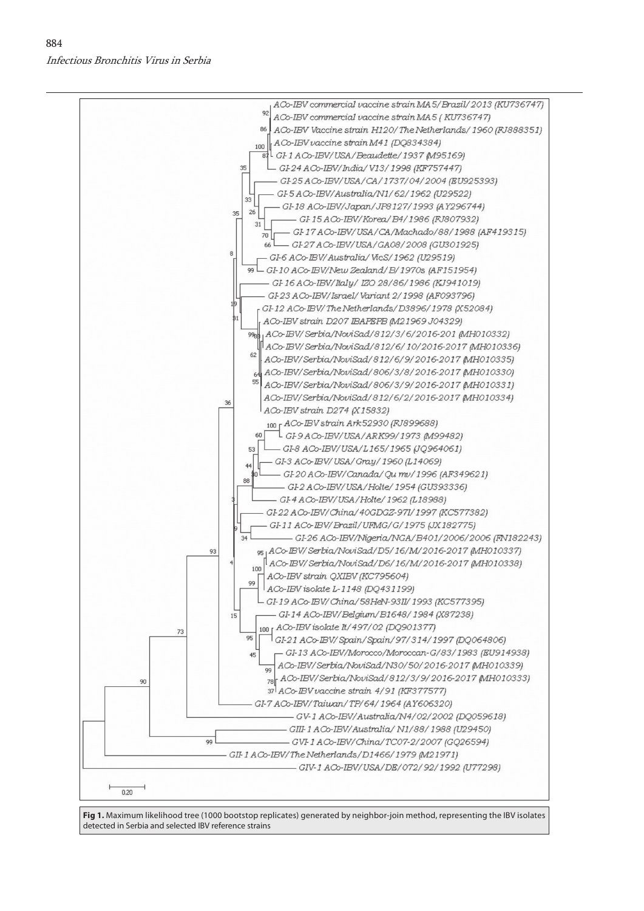

**Fig 1.** Maximum likelihood tree (1000 bootstop replicates) generated by neighbor-join method, representing the IBV isolates detected in Serbia and selected IBV reference strains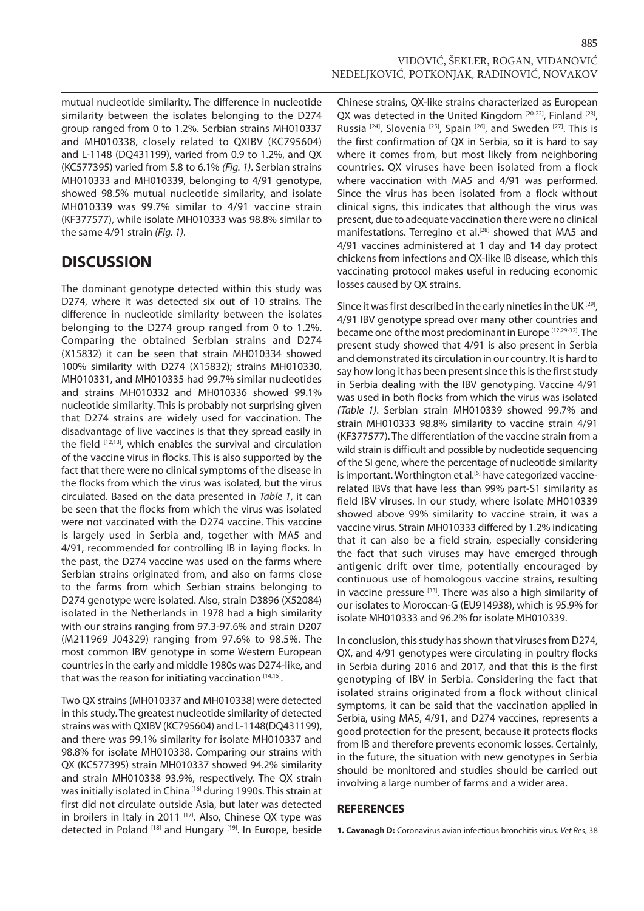mutual nucleotide similarity. The difference in nucleotide similarity between the isolates belonging to the D274 group ranged from 0 to 1.2%. Serbian strains MH010337 and MH010338, closely related to QXIBV (KC795604) and L-1148 (DQ431199), varied from 0.9 to 1.2%, and QX (KC577395) varied from 5.8 to 6.1% *(Fig. 1)*. Serbian strains MH010333 and MH010339, belonging to 4/91 genotype, showed 98.5% mutual nucleotide similarity, and isolate MH010339 was 99.7% similar to 4/91 vaccine strain (KF377577), while isolate MH010333 was 98.8% similar to the same 4/91 strain *(Fig. 1)*.

## **DISCUSSION**

The dominant genotype detected within this study was D274, where it was detected six out of 10 strains. The difference in nucleotide similarity between the isolates belonging to the D274 group ranged from 0 to 1.2%. Comparing the obtained Serbian strains and D274 (X15832) it can be seen that strain MH010334 showed 100% similarity with D274 (X15832); strains MH010330, MH010331, and MH010335 had 99.7% similar nucleotides and strains MH010332 and MH010336 showed 99.1% nucleotide similarity. This is probably not surprising given that D274 strains are widely used for vaccination. The disadvantage of live vaccines is that they spread easily in the field [12,13], which enables the survival and circulation of the vaccine virus in flocks. This is also supported by the fact that there were no clinical symptoms of the disease in the flocks from which the virus was isolated, but the virus circulated. Based on the data presented in *Table 1*, it can be seen that the flocks from which the virus was isolated were not vaccinated with the D274 vaccine. This vaccine is largely used in Serbia and, together with MA5 and 4/91, recommended for controlling IB in laying flocks. In the past, the D274 vaccine was used on the farms where Serbian strains originated from, and also on farms close to the farms from which Serbian strains belonging to D274 genotype were isolated. Also, strain D3896 (X52084) isolated in the Netherlands in 1978 had a high similarity with our strains ranging from 97.3-97.6% and strain D207 (M211969 J04329) ranging from 97.6% to 98.5%. The most common IBV genotype in some Western European countries in the early and middle 1980s was D274-like, and that was the reason for initiating vaccination [14,15].

Two QX strains (MH010337 and MH010338) were detected in this study. The greatest nucleotide similarity of detected strains was with QXIBV (KC795604) and L-1148(DQ431199), and there was 99.1% similarity for isolate MH010337 and 98.8% for isolate MH010338. Comparing our strains with QX (KC577395) strain MH010337 showed 94.2% similarity and strain MH010338 93.9%, respectively. The QX strain was initially isolated in China [16] during 1990s. This strain at first did not circulate outside Asia, but later was detected in broilers in Italy in 2011 [17]. Also, Chinese QX type was detected in Poland [18] and Hungary [19]. In Europe, beside Chinese strains, QX-like strains characterized as European QX was detected in the United Kingdom [20-22], Finland [23], Russia<sup>[24]</sup>, Slovenia<sup>[25]</sup>, Spain<sup>[26]</sup>, and Sweden<sup>[27]</sup>. This is the first confirmation of QX in Serbia, so it is hard to say where it comes from, but most likely from neighboring countries. QX viruses have been isolated from a flock where vaccination with MA5 and 4/91 was performed. Since the virus has been isolated from a flock without clinical signs, this indicates that although the virus was present, due to adequate vaccination there were no clinical manifestations. Terregino et al.<sup>[28]</sup> showed that MA5 and 4/91 vaccines administered at 1 day and 14 day protect chickens from infections and QX-like IB disease, which this vaccinating protocol makes useful in reducing economic losses caused by QX strains.

Since it was first described in the early nineties in the UK [29], 4/91 IBV genotype spread over many other countries and became one of the most predominant in Europe [12,29-32]. The present study showed that 4/91 is also present in Serbia and demonstrated its circulation in our country. It is hard to say how long it has been present since this is the first study in Serbia dealing with the IBV genotyping. Vaccine 4/91 was used in both flocks from which the virus was isolated *(Table 1)*. Serbian strain MH010339 showed 99.7% and strain MH010333 98.8% similarity to vaccine strain 4/91 (KF377577). The differentiation of the vaccine strain from a wild strain is difficult and possible by nucleotide sequencing of the SI gene, where the percentage of nucleotide similarity is important. Worthington et al.<sup>[6]</sup> have categorized vaccinerelated IBVs that have less than 99% part-S1 similarity as field IBV viruses. In our study, where isolate MH010339 showed above 99% similarity to vaccine strain, it was a vaccine virus. Strain MH010333 differed by 1.2% indicating that it can also be a field strain, especially considering the fact that such viruses may have emerged through antigenic drift over time, potentially encouraged by continuous use of homologous vaccine strains, resulting in vaccine pressure [33]. There was also a high similarity of our isolates to Moroccan-G (EU914938), which is 95.9% for isolate MH010333 and 96.2% for isolate MH010339.

In conclusion, this study has shown that viruses from D274, QX, and 4/91 genotypes were circulating in poultry flocks in Serbia during 2016 and 2017, and that this is the first genotyping of IBV in Serbia. Considering the fact that isolated strains originated from a flock without clinical symptoms, it can be said that the vaccination applied in Serbia, using MA5, 4/91, and D274 vaccines, represents a good protection for the present, because it protects flocks from IB and therefore prevents economic losses. Certainly, in the future, the situation with new genotypes in Serbia should be monitored and studies should be carried out involving a large number of farms and a wider area.

### **REFERENCES**

**1. Cavanagh D:** Coronavirus avian infectious bronchitis virus. *Vet Res*, 38